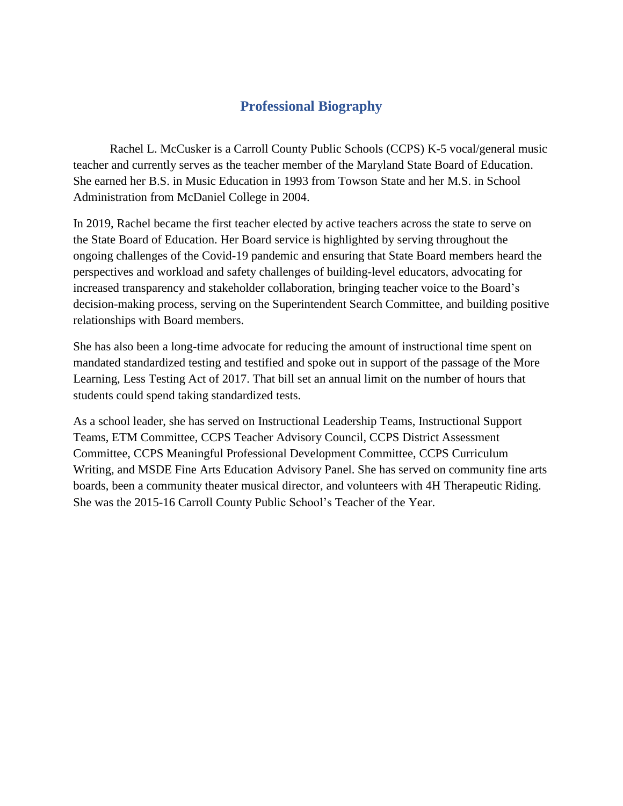## **Professional Biography**

Rachel L. McCusker is a Carroll County Public Schools (CCPS) K-5 vocal/general music teacher and currently serves as the teacher member of the Maryland State Board of Education. She earned her B.S. in Music Education in 1993 from Towson State and her M.S. in School Administration from McDaniel College in 2004.

In 2019, Rachel became the first teacher elected by active teachers across the state to serve on the State Board of Education. Her Board service is highlighted by serving throughout the ongoing challenges of the Covid-19 pandemic and ensuring that State Board members heard the perspectives and workload and safety challenges of building-level educators, advocating for increased transparency and stakeholder collaboration, bringing teacher voice to the Board's decision-making process, serving on the Superintendent Search Committee, and building positive relationships with Board members.

She has also been a long-time advocate for reducing the amount of instructional time spent on mandated standardized testing and testified and spoke out in support of the passage of the More Learning, Less Testing Act of 2017. That bill set an annual limit on the number of hours that students could spend taking standardized tests.

As a school leader, she has served on Instructional Leadership Teams, Instructional Support Teams, ETM Committee, CCPS Teacher Advisory Council, CCPS District Assessment Committee, CCPS Meaningful Professional Development Committee, CCPS Curriculum Writing, and MSDE Fine Arts Education Advisory Panel. She has served on community fine arts boards, been a community theater musical director, and volunteers with 4H Therapeutic Riding. She was the 2015-16 Carroll County Public School's Teacher of the Year.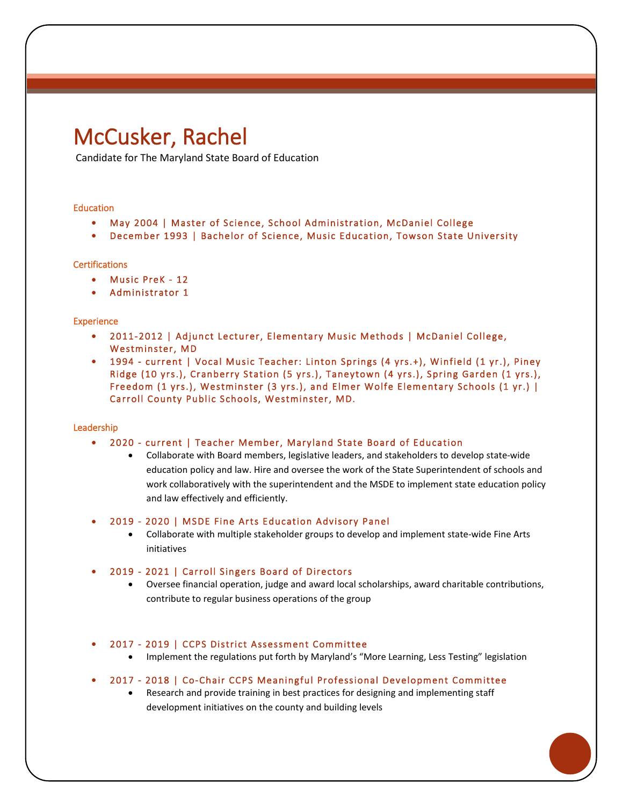# McCusker, Rachel

Candidate for The Maryland State Board of Education

#### Education

- May 2004 | Master of Science, School Administration, McDaniel College
- December 1993 | Bachelor of Science, Music Education, Towson State University

#### **Certifications**

- Music PreK 12
- Administrator 1

#### **Experience**

- • 2011-2012 | Adjunct Lecturer, Elementary Music Methods | McDaniel College, Westminster, MD
- • 1994 current | Vocal Music Teacher: Linton Springs (4 yrs.+), Winfield (1 yr.), Piney Ridge (10 yrs.), Cranberry Station (5 yrs.), Taneytown (4 yrs.), Spring Garden (1 yrs.), Freedom (1 yrs.), Westminster (3 yrs.), and Elmer Wolfe Elementary Schools (1 yr.) | Carroll County Public Schools, Westminster, MD.

#### Leadership

- 2020 current | Teacher Member, Maryland State Board of Education
	- Collaborate with Board members, legislative leaders, and stakeholders to develop state-wide education policy and law. Hire and oversee the work of the State Superintendent of schools and work collaboratively with the superintendent and the MSDE to implement state education policy and law effectively and efficiently.

• 2019 - 2020 | MSDE Fine Arts Education Advisory Panel

• Collaborate with multiple stakeholder groups to develop and implement state-wide Fine Arts initiatives

#### • 2019 - 2021 | Carroll Singers Board of Directors

• Oversee financial operation, judge and award local scholarships, award charitable contributions, contribute to regular business operations of the group

#### • 2017 - 2019 | CCPS District Assessment Committee

• Implement the regulations put forth by Maryland's "More Learning, Less Testing" legislation

#### • 2017 - 2018 | Co-Chair CCPS Meaningful Professional Development Committee

• Research and provide training in best practices for designing and implementing staff development initiatives on the county and building levels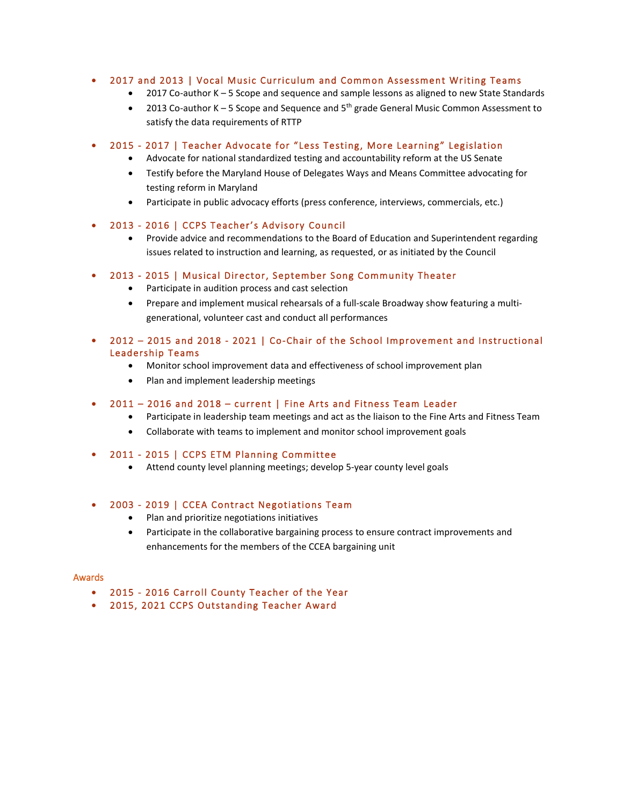#### • 2017 and 2013 | Vocal Music Curriculum and Common Assessment Writing Teams

- 2017 Co-author K 5 Scope and sequence and sample lessons as aligned to new State Standards
- 2013 Co-author K 5 Scope and Sequence and  $5<sup>th</sup>$  grade General Music Common Assessment to satisfy the data requirements of RTTP

#### • 2015 - 2017 | Teacher Advocate for "Less Testing, More Learning" Legislation

- Advocate for national standardized testing and accountability reform at the US Senate
- Testify before the Maryland House of Delegates Ways and Means Committee advocating for testing reform in Maryland
- Participate in public advocacy efforts (press conference, interviews, commercials, etc.)
- • 2013 2016 | CCPS Teacher's Advisory Council
	- Provide advice and recommendations to the Board of Education and Superintendent regarding issues related to instruction and learning, as requested, or as initiated by the Council

#### • 2013 - 2015 | Musical Director, September Song Community Theater

- Participate in audition process and cast selection
- Prepare and implement musical rehearsals of a full-scale Broadway show featuring a multigenerational, volunteer cast and conduct all performances
- • 2012 2015 and 2018 2021 | Co-Chair of the School Improvement and Instructional Leadership Teams
	- Monitor school improvement data and effectiveness of school improvement plan
	- Plan and implement leadership meetings

#### • 2011 – 2016 and 2018 – current | Fine Arts and Fitness Team Leader

- Participate in leadership team meetings and act as the liaison to the Fine Arts and Fitness Team
- Collaborate with teams to implement and monitor school improvement goals
- 2011 2015 | CCPS ETM Planning Committee
	- Attend county level planning meetings; develop 5-year county level goals

#### • 2003 - 2019 | CCEA Contract Negotiations Team

- Plan and prioritize negotiations initiatives
- Participate in the collaborative bargaining process to ensure contract improvements and enhancements for the members of the CCEA bargaining unit

#### Awards

- 2015 2016 Carroll County Teacher of the Year
- 2015, 2021 CCPS Outstanding Teacher Award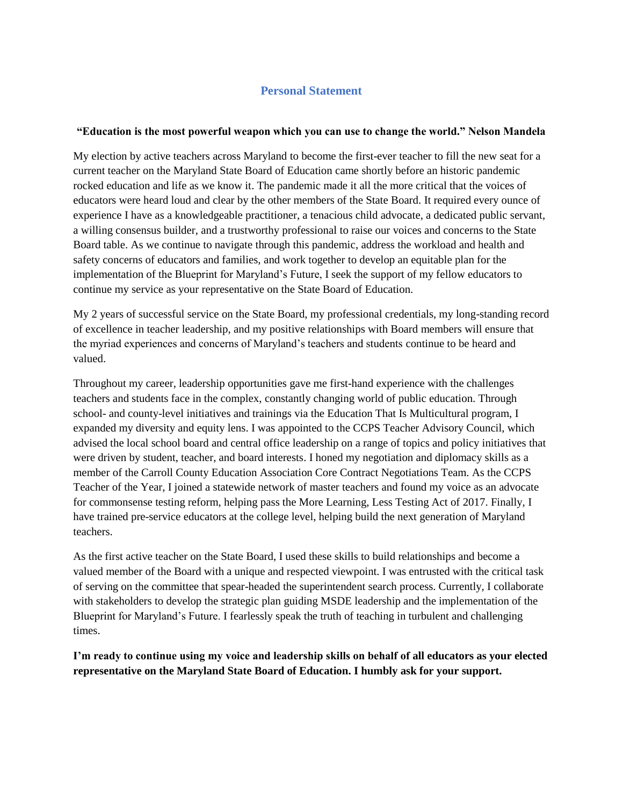### **Personal Statement**

#### **"Education is the most powerful weapon which you can use to change the world." Nelson Mandela**

My election by active teachers across Maryland to become the first-ever teacher to fill the new seat for a current teacher on the Maryland State Board of Education came shortly before an historic pandemic rocked education and life as we know it. The pandemic made it all the more critical that the voices of educators were heard loud and clear by the other members of the State Board. It required every ounce of experience I have as a knowledgeable practitioner, a tenacious child advocate, a dedicated public servant, a willing consensus builder, and a trustworthy professional to raise our voices and concerns to the State Board table. As we continue to navigate through this pandemic, address the workload and health and safety concerns of educators and families, and work together to develop an equitable plan for the implementation of the Blueprint for Maryland's Future, I seek the support of my fellow educators to continue my service as your representative on the State Board of Education.

My 2 years of successful service on the State Board, my professional credentials, my long-standing record of excellence in teacher leadership, and my positive relationships with Board members will ensure that the myriad experiences and concerns of Maryland's teachers and students continue to be heard and valued.

Throughout my career, leadership opportunities gave me first-hand experience with the challenges teachers and students face in the complex, constantly changing world of public education. Through school- and county-level initiatives and trainings via the Education That Is Multicultural program, I expanded my diversity and equity lens. I was appointed to the CCPS Teacher Advisory Council, which advised the local school board and central office leadership on a range of topics and policy initiatives that were driven by student, teacher, and board interests. I honed my negotiation and diplomacy skills as a member of the Carroll County Education Association Core Contract Negotiations Team. As the CCPS Teacher of the Year, I joined a statewide network of master teachers and found my voice as an advocate for commonsense testing reform, helping pass the More Learning, Less Testing Act of 2017. Finally, I have trained pre-service educators at the college level, helping build the next generation of Maryland teachers.

As the first active teacher on the State Board, I used these skills to build relationships and become a valued member of the Board with a unique and respected viewpoint. I was entrusted with the critical task of serving on the committee that spear-headed the superintendent search process. Currently, I collaborate with stakeholders to develop the strategic plan guiding MSDE leadership and the implementation of the Blueprint for Maryland's Future. I fearlessly speak the truth of teaching in turbulent and challenging times.

**I'm ready to continue using my voice and leadership skills on behalf of all educators as your elected representative on the Maryland State Board of Education. I humbly ask for your support.**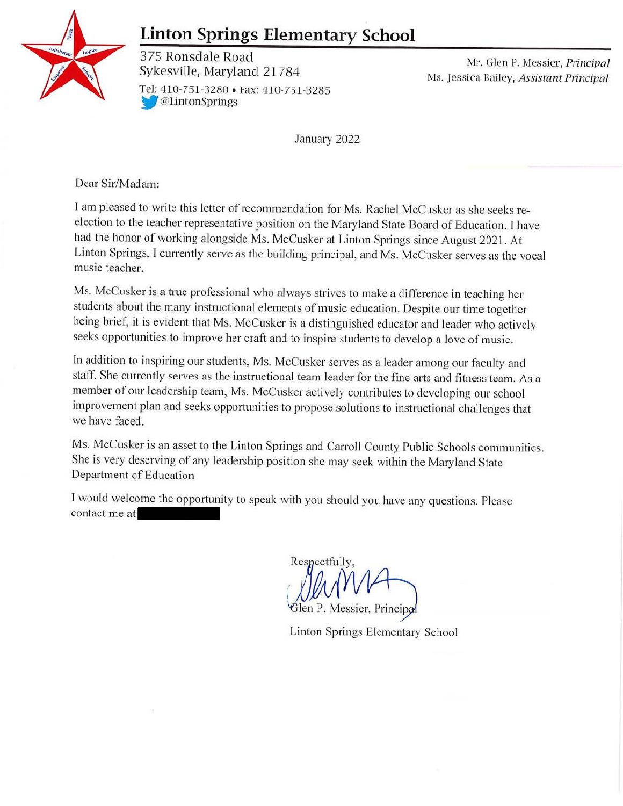

# **Linton Springs Elementary School**

375 Ronsdale Road<br>Sykesville, Maryland 21784 Ms. Jessica Bailey, Assistant Principal Tel: 410-751-3280 • Fax: 410-751-3285 **W**@LintonSprings

January 2022

Dear Sir/Madam:

I am pleased to write this letter of recommendation for Ms. Rachel McCusker as she seeks reelection to the teacher representative position on the Maryland State Board of Education. I have had the honor of working alongside Ms. McCusker at Linton Springs since August 2021. At Linton Springs, I currently serve as the building principal, and Ms. McCusker serves as the vocal music teacher.

Ms. McCusker is a true professional who always strives to make a difference in teaching her students about the many instructional elements of music education. Despite our time together being brief, it is evident that Ms. McCusker is a distinguished educator and leader who actively seeks opportunities to improve her craft and to inspire students to develop a love of music.

ln addition to inspiring our students, Ms. McCusker serves as a leader among our faculty and staff. She currently serves as the instructional team leader for the fine arts and fitness team. As a member of our leadership team, Ms. McCusker actively contributes to developing our school improvement plan and seeks opportunities to propose solutions to instructional challenges that we have faced.

Ms. Mccusker is an asset to the Linton Springs and Carroll County Public Schools communities. She is very deserving of any leadership position she may seek within the Maryland State Department of Education

I would welcome the opportunity to speak with you should you have any questions. Please contact me at

Respectfully, *(*  j

Glen P. Messier, Principa

Linton Springs Elementary School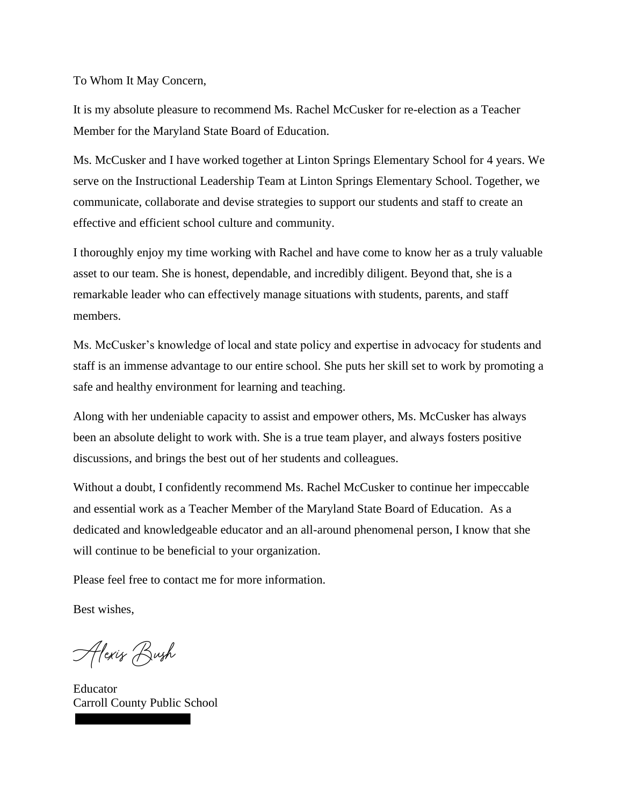To Whom It May Concern,

It is my absolute pleasure to recommend Ms. Rachel McCusker for re-election as a Teacher Member for the Maryland State Board of Education.

Ms. McCusker and I have worked together at Linton Springs Elementary School for 4 years. We serve on the Instructional Leadership Team at Linton Springs Elementary School. Together, we communicate, collaborate and devise strategies to support our students and staff to create an effective and efficient school culture and community.

I thoroughly enjoy my time working with Rachel and have come to know her as a truly valuable asset to our team. She is honest, dependable, and incredibly diligent. Beyond that, she is a remarkable leader who can effectively manage situations with students, parents, and staff members.

Ms. McCusker's knowledge of local and state policy and expertise in advocacy for students and staff is an immense advantage to our entire school. She puts her skill set to work by promoting a safe and healthy environment for learning and teaching.

Along with her undeniable capacity to assist and empower others, Ms. McCusker has always been an absolute delight to work with. She is a true team player, and always fosters positive discussions, and brings the best out of her students and colleagues.

Without a doubt, I confidently recommend Ms. Rachel McCusker to continue her impeccable and essential work as a Teacher Member of the Maryland State Board of Education. As a dedicated and knowledgeable educator and an all-around phenomenal person, I know that she will continue to be beneficial to your organization.

Please feel free to contact me for more information.

Best wishes,

Alexis Bush

Educator Carroll County Public School